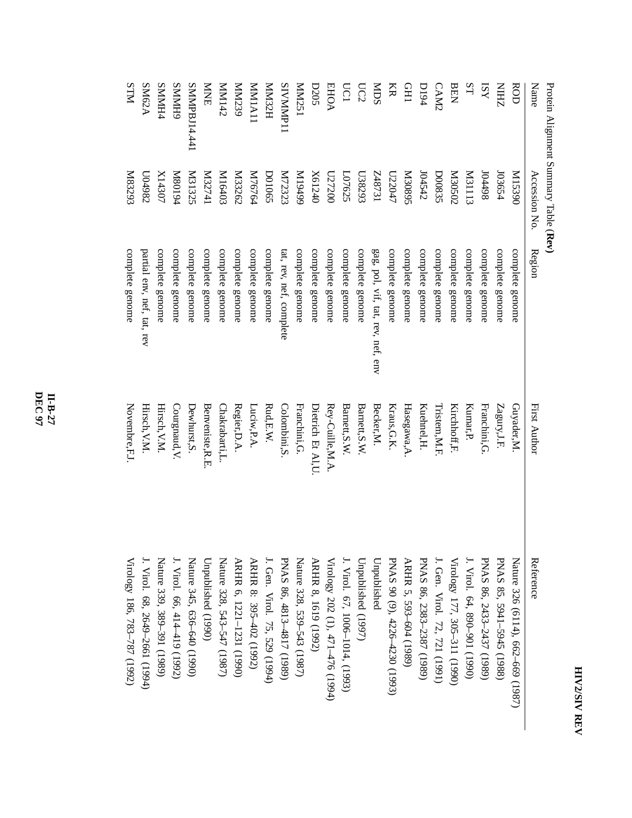| ٦ |  |  |
|---|--|--|
| ç |  |  |

Protein Alignment SummaryTable (**Rev)**

| Name               | Accession No.     | Region                            | First Author       | Reference                         |
|--------------------|-------------------|-----------------------------------|--------------------|-----------------------------------|
| ROD                | 06851M            | complete genome                   | Guyader,M.         | Nature 326 (6114), 662-669 (1987) |
| <b>ZHIN</b>        | 103654            | complete genome                   | Zagury, J.F.       | PNAS 85, 5941-5945 (1988)         |
| ISY                | 86tt0I            | complete genome                   | Franchini, G.      | PNAS 86, 2433-2437 (1989)         |
| SL                 | <b>EIIIEM</b>     | complete genome                   | Kumar, P.          | J. Virol. 64, 890-901 (1990)      |
| BEN                | Z0S020            | complete genome                   | Kirchhoff, F.      | Virology 177, 305-311 (1990)      |
| CAM2               | D00835            | complete genome                   | Tristem, M.F.      | J. Gen. Virol. 72, 721 (1991)     |
| <b>D194</b>        | 104542            | complete genome                   | Kuehnel, H.        | PNAS 86, 2383-2387 (1989)         |
| <b>CHI</b>         | S680 <sub>3</sub> | complete genome                   | Hasegawa, A.       | ARHR 5, 593-604 (1989)            |
| KR                 | L22047            | complete genome                   | Kraus, G.K.        | PNAS 90 (9), 4226-4230 (1993)     |
| SCIM               | IEL8+Z            | gag, pol, vif, tat, rev, nef, env | Becker, M.         | Unpublished                       |
| UC2                | E678303           | complete genome                   | Barnett, S.W.      | Unpublished (1997)                |
| <b>UC1</b>         | L07625            | complete genome                   | Barnett, S.W.      | J. Virol. 67, 1006-1014, (1993)   |
| <b>EHOA</b>        | 027200            | complete genome                   | Rey-Cuille, M.A    | Virology 202 (1), 471-476 (1994)  |
| <b>D205</b>        | X61240            | complete genome                   | Dietrich Et Al, U. | ARHR 8, 1619 (1992)               |
| MM251              | 66t6 I M          | complete genome                   | Franchini, G.      | Nature 328, 539–543 (1987)        |
| SIVMMP11           | M72323            | tat, rev, nef, complete           | Colombini,S        | PNAS 86, 4813-4817 (1989)         |
| <b>HZENIN</b>      | <b>D01065</b>     | complete genome                   | Rud, E.W.          | J. Gen. Virol. 75, 529 (1994)     |
| IIAIMM             | M76764            | complete genome                   | Luciw,P.A.         | ARHR 8: 395-402 (1992)            |
| MM239              | <b>M33262</b>     | complete genome                   | Regier, D.A.       | ARHR 6, 1221-1231 (1990)          |
| Z <sub>t</sub> INM | M16403            | complete genome                   | Chakrabarti,L.     | Nature 328, 543-547 (1987)        |
| <b>NNE</b>         | It/25741          | complete genome                   | Benveniste, R.E    | Unpublished (1990)                |
| SMMPBJ14.441       | <b>M31325</b>     | complete genome                   | Dewhurst, S.       | Nature 345, 636-640 (1990)        |
| <b>GHIVINS</b>     | b6108M            | complete genome                   | Courgnaud, V.      | J. Virol. 66, 414–419 (1992)      |
| SMMH4              | X14307            | complete genome                   | Hirsch, V.M.       | Nature 339, 389-391 (1989)        |
| SM62A              | L04982            | partial env, nef, tat, rev        | Hirsch, V.M.       | J. Virol. 68, 2649-2661 (1994)    |
| <b>NLIS</b>        | K83293            | complete genome                   | Novembre, F.J      | Virology 186, 783-787 (1992)      |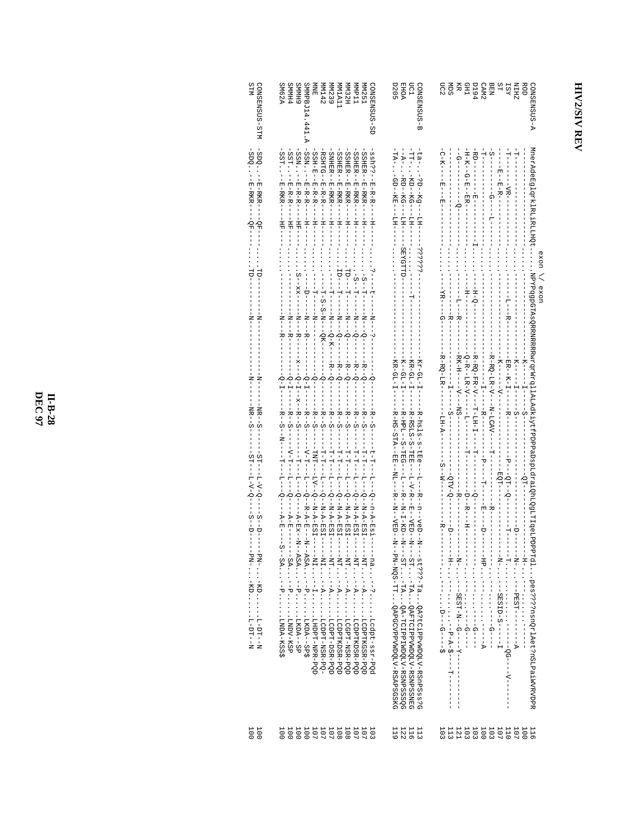## **HIV2/SIV REV**

| STM<br>CONSENSUS-STM                                                                                                                                                                               | <b>SM62A</b><br>GONSENSUS-SD<br><b>SMMH4</b><br><b>GHMMS</b><br>SMMPBJ14<br>MM32H<br><b>MMP11</b><br><b>MM251</b><br>医因<br>MM239<br><b>MM1A11</b><br>MM142                                                                                                                                                                                                                                                                                                                                                                                                                                                                                                                                                                                                                                                                                                                                                                                                                                                                                                                                                                                                                                                                                                                                                                                                                                                                                                                                                                                                                                                                                                                                                                                                                | <b>D205</b><br><b>ROD</b><br><b>A-SUSNESMOD</b><br><b>EHOA</b><br>Eq<br>SUSENSUS-B<br>요<br>민준<br>Ř<br>CHD<br>ZHIN                                                                                                                                                                                                                                                                                                                                                                                                                                                                                                                                                                                                                                                             |
|----------------------------------------------------------------------------------------------------------------------------------------------------------------------------------------------------|---------------------------------------------------------------------------------------------------------------------------------------------------------------------------------------------------------------------------------------------------------------------------------------------------------------------------------------------------------------------------------------------------------------------------------------------------------------------------------------------------------------------------------------------------------------------------------------------------------------------------------------------------------------------------------------------------------------------------------------------------------------------------------------------------------------------------------------------------------------------------------------------------------------------------------------------------------------------------------------------------------------------------------------------------------------------------------------------------------------------------------------------------------------------------------------------------------------------------------------------------------------------------------------------------------------------------------------------------------------------------------------------------------------------------------------------------------------------------------------------------------------------------------------------------------------------------------------------------------------------------------------------------------------------------------------------------------------------------------------------------------------------------|-------------------------------------------------------------------------------------------------------------------------------------------------------------------------------------------------------------------------------------------------------------------------------------------------------------------------------------------------------------------------------------------------------------------------------------------------------------------------------------------------------------------------------------------------------------------------------------------------------------------------------------------------------------------------------------------------------------------------------------------------------------------------------|
| -2DQ--F-R-RKR-<br>SDQ.<br>-E-RKR-<br>---0F-<br>$-40-$<br>.<br>단<br>.<br>Н<br>$-\frac{1}{2}$<br>$\overline{N}$<br>- - N - - -<br>$-1$ $\!-1$<br>$-1$ KR $-2$<br>$-MR - -S$<br>--- PN- - KD L-DH---N | SST.<br>$SSH-E$<br><b>RSHTG</b><br><b>SNHER</b><br><b>SSHER</b><br><b>SSHER</b><br><b>SSHER</b><br>SSHER--F-F-F<br>: S Sh ? ? - - - E - R - R - - - - - H - H - - -<br>SSN.<br>SSN.<br>$-1 - 12 - 12$<br>-- E-RKR-<br>$  E$ $ E$ $ E$ $ E$ $ E$ $ E$ $ E$ $ E$ $ E$ $ E$ $ E$ $ E$ $ E$ $ E$ $ E$ $ E$ $ E$ $ E$ $ E$ $ E$ $ E$ $ E$ $ E$ $ E$ $ E$ $ E$ $ E$<br>-- E-REA<br>E-RKR-<br>$E - R - R$<br>$E - R - R$ .<br>$E - R - R$ .<br>$-1$ $-1$ $-1$<br>$-H--$<br>- - HH - -<br>$-1$ $-1$ $-1$ $-1$ $-1$ $-1$<br>$\frac{1}{1}$<br>$-H--$<br>$- H - -$<br>- HH<br>!<br>$-$ H <sub>H</sub><br>$\begin{split} \ddot{\ddot{\theta}} \cdot \dot{\theta} - \dot{\theta} - \dot{\theta} - \dot{\theta} - \dot{\theta} - \dot{\theta} - \dot{\theta} - \dot{\theta} - \dot{\theta} - \dot{\theta} - \dot{\theta} - \dot{\theta} - \dot{\theta} - \dot{\theta} - \dot{\theta} - \dot{\theta} - \dot{\theta} - \dot{\theta} - \dot{\theta} - \dot{\theta} - \dot{\theta} - \dot{\theta} - \dot{\theta} - \dot{\theta} - \dot{\theta} - \dot{\theta} - \dot{\theta} - \dot{\theta} - \dot{\theta} - \dot{\theta} - \dot{\theta} - \dot{\theta} - \dot{\theta} - \dot{\theta} -$<br>シーーーー ローーーー Nーーー ソーーーー<br>- N - - - - N - -<br>-R1-2-1-1-1-1-1-1-1-1-2-2-2-1<br>$- - - - - - - - -$<br>-----SP: --- PINDV-RSG<br>$-1$ $-1$ $-1$ $-1$ $-1$<br>- - - - - - -<br>$-1$ NT $\cdots$<br>$-\mathbb{Z}$ $\vdots$ $-\mathbb{Z}$ $\vdots$<br>$\cdots$ $   \cdots$<br>$\ddot{\cdot}$<br>$\cdot$ - $ \cdot$ - $\cdot$<br>$-1$ - $-1$<br>$- - A$ .<br>$\cdot$ - $\overline{A}$ .<br>$\vdots$<br>$\vdots$<br>$\vdots$<br>Lcdpt-ssr-PQc<br>. LCDPTKDSR-PQD<br>. LCDPTKGSR-PQD<br>TCGPT-NSR-PQD<br>. LCDPTKDSR-PQD<br>LCDPT-DSR-PQD<br>LCDPT-NSR-PQ-<br>LKDA--SP<br>LKDA--SP\$<br>TRPPT-RPR-PQD | MnerAdeEglqrklRLiRLLHQt<br>-- A - - RD -- RG- -- - LH -- - - - - SBKGHTD -- - - - - - - -<br>- TT- - KD- - KG- - - LH- - -<br>$\frac{1}{1}$<br>$\frac{1}{1}$<br>ပ္ပံ<br>RD--<br>-ea-<br>ģ<br>$E - R - -$<br>exon // exon<br>.<br>NPYPqqpGTAsQRRNRRRRRATWrq1lALAdkiytfPDPaDspLdraiQhLQg1LTIqeLPPPqd1pes????nsnQz1.nPrc7d1pes<br>$-K--GL-T$<br>$-KR-GL-T$<br>-R-hals-s-tEe--L--h--h--n-veD--N--st???-raQA?tCiPPvWDQLV-RShPSss?G<br>-R-RSLS-S-TEE--L-V-R--E--N-N-ST--ST-TAQAFTCIPPVWDQLV-RSNPSSNRG<br>- - 04 - - - - - -<br>- - - - N - - - - PEST- - - - - - - - - A<br>エーエー出す ・・・エーエー<br>- - - - N - - - - SEST - N - - G - - - - Y - - - - - - - -<br>エーエスト・シャー<br>---N- --- SESHU-S--<br>. ---- D---Q----- 5<br>. ----Q-----<br>. - - - - <del>.</del><br>$\frac{1}{1}$<br>I |
| 100<br>100                                                                                                                                                                                         | 1111118<br>000000<br>001118<br>108<br>101<br>101<br>101<br>100<br>100                                                                                                                                                                                                                                                                                                                                                                                                                                                                                                                                                                                                                                                                                                                                                                                                                                                                                                                                                                                                                                                                                                                                                                                                                                                                                                                                                                                                                                                                                                                                                                                                                                                                                                     | 122<br>$113$<br>$116$<br>113<br>121<br>103<br>103<br>100<br>103<br>107<br><b>110</b><br>119<br>103<br>100<br>116<br>107                                                                                                                                                                                                                                                                                                                                                                                                                                                                                                                                                                                                                                                       |